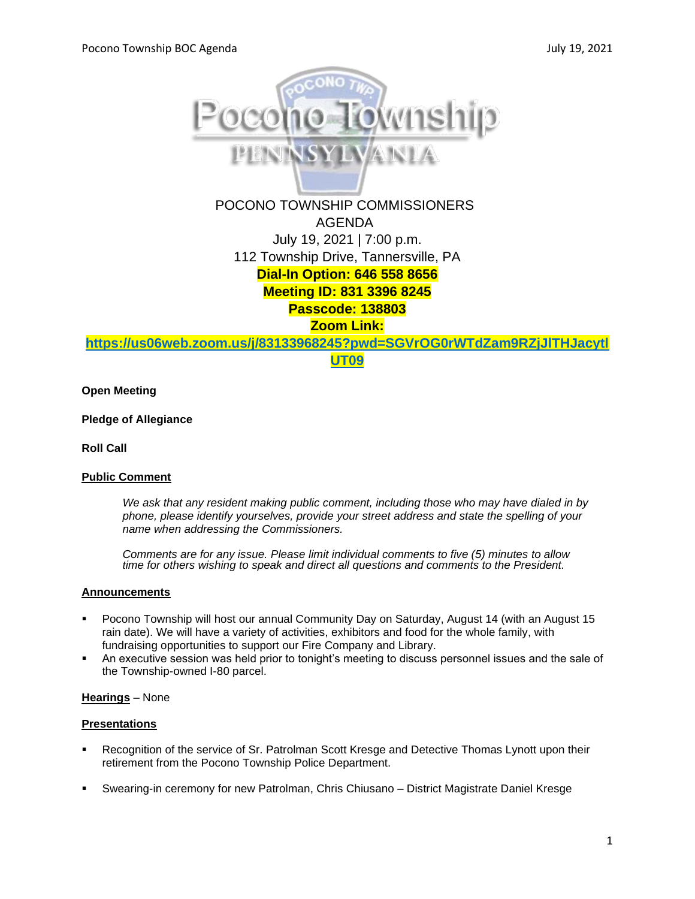

POCONO TOWNSHIP COMMISSIONERS AGENDA July 19, 2021 | 7:00 p.m. 112 Township Drive, Tannersville, PA **Dial-In Option: 646 558 8656 Meeting ID: 831 3396 8245 Passcode: 138803 Zoom Link:** 

**[https://us06web.zoom.us/j/83133968245?pwd=SGVrOG0rWTdZam9RZjJlTHJacytl](https://us06web.zoom.us/j/83133968245?pwd=SGVrOG0rWTdZam9RZjJlTHJacytlUT09)**

**[UT09](https://us06web.zoom.us/j/83133968245?pwd=SGVrOG0rWTdZam9RZjJlTHJacytlUT09)**

**Open Meeting**

**Pledge of Allegiance**

**Roll Call**

## **Public Comment**

*We ask that any resident making public comment, including those who may have dialed in by phone, please identify yourselves, provide your street address and state the spelling of your name when addressing the Commissioners.*

*Comments are for any issue. Please limit individual comments to five (5) minutes to allow time for others wishing to speak and direct all questions and comments to the President.* 

## **Announcements**

- Pocono Township will host our annual Community Day on Saturday, August 14 (with an August 15 rain date). We will have a variety of activities, exhibitors and food for the whole family, with fundraising opportunities to support our Fire Company and Library.
- An executive session was held prior to tonight's meeting to discuss personnel issues and the sale of the Township-owned I-80 parcel.

## **Hearings** – None

## **Presentations**

- Recognition of the service of Sr. Patrolman Scott Kresge and Detective Thomas Lynott upon their retirement from the Pocono Township Police Department.
- Swearing-in ceremony for new Patrolman, Chris Chiusano District Magistrate Daniel Kresge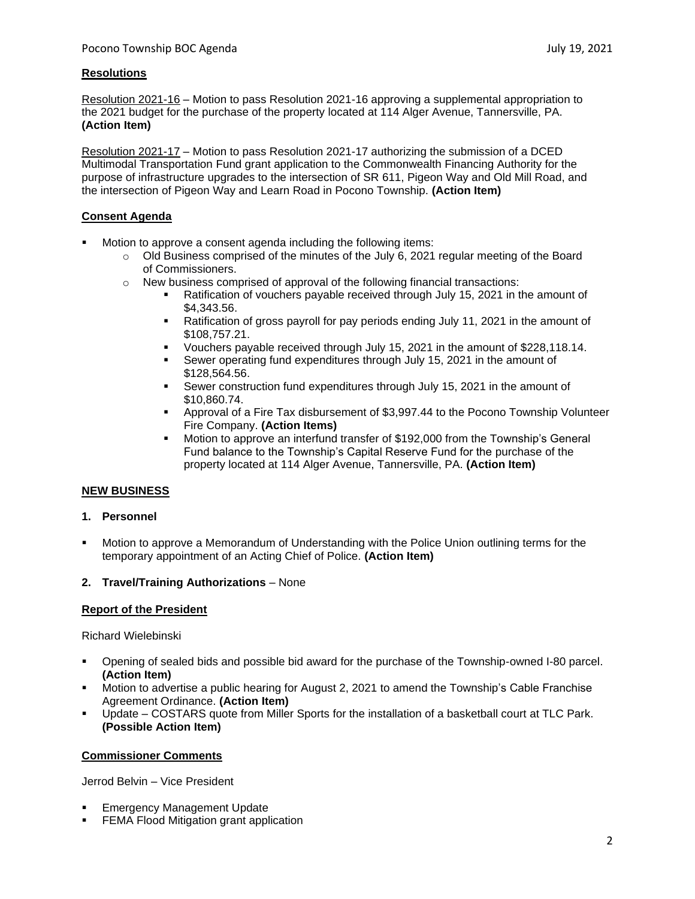## **Resolutions**

Resolution 2021-16 – Motion to pass Resolution 2021-16 approving a supplemental appropriation to the 2021 budget for the purchase of the property located at 114 Alger Avenue, Tannersville, PA. **(Action Item)**

Resolution 2021-17 – Motion to pass Resolution 2021-17 authorizing the submission of a DCED Multimodal Transportation Fund grant application to the Commonwealth Financing Authority for the purpose of infrastructure upgrades to the intersection of SR 611, Pigeon Way and Old Mill Road, and the intersection of Pigeon Way and Learn Road in Pocono Township. **(Action Item)**

## **Consent Agenda**

- Motion to approve a consent agenda including the following items:
	- $\circ$  Old Business comprised of the minutes of the July 6, 2021 regular meeting of the Board of Commissioners.
	- $\circ$  New business comprised of approval of the following financial transactions:
		- Ratification of vouchers payable received through July 15, 2021 in the amount of \$4,343.56.
		- **EXECUTE:** Ratification of gross payroll for pay periods ending July 11, 2021 in the amount of \$108,757.21.
		- Vouchers payable received through July 15, 2021 in the amount of \$228,118.14.
		- Sewer operating fund expenditures through July 15, 2021 in the amount of \$128,564.56.
		- **EXECT** Sewer construction fund expenditures through July 15, 2021 in the amount of \$10,860.74.
		- Approval of a Fire Tax disbursement of \$3,997.44 to the Pocono Township Volunteer Fire Company. **(Action Items)**
		- Motion to approve an interfund transfer of \$192,000 from the Township's General Fund balance to the Township's Capital Reserve Fund for the purchase of the property located at 114 Alger Avenue, Tannersville, PA. **(Action Item)**

# **NEW BUSINESS**

- **1. Personnel**
- Motion to approve a Memorandum of Understanding with the Police Union outlining terms for the temporary appointment of an Acting Chief of Police. **(Action Item)**

## **2. Travel/Training Authorizations** – None

## **Report of the President**

Richard Wielebinski

- Opening of sealed bids and possible bid award for the purchase of the Township-owned I-80 parcel. **(Action Item)**
- Motion to advertise a public hearing for August 2, 2021 to amend the Township's Cable Franchise Agreement Ordinance. **(Action Item)**
- Update COSTARS quote from Miller Sports for the installation of a basketball court at TLC Park. **(Possible Action Item)**

## **Commissioner Comments**

Jerrod Belvin – Vice President

- **Emergency Management Update**
- FEMA Flood Mitigation grant application